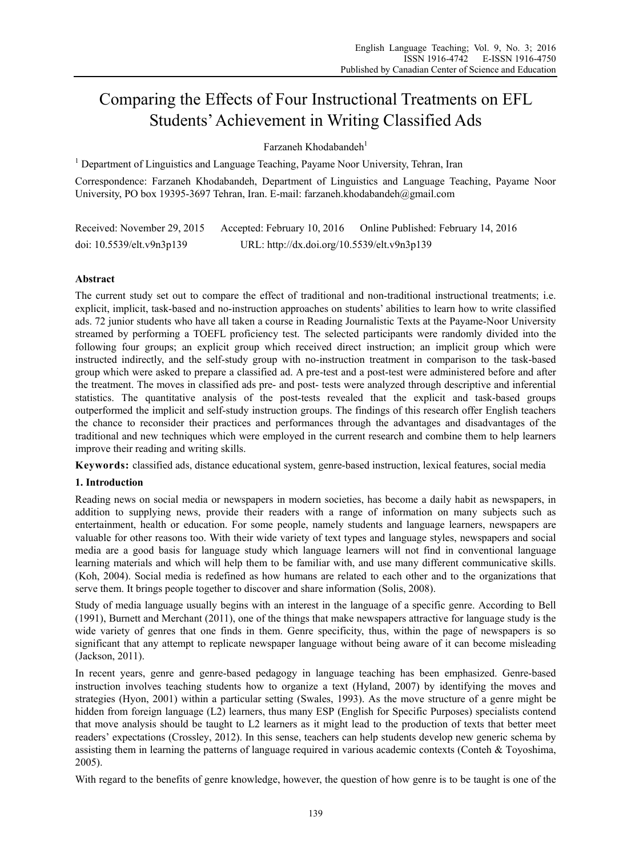# Comparing the Effects of Four Instructional Treatments on EFL Students' Achievement in Writing Classified Ads

Farzaneh Khodabandeh<sup>1</sup>

<sup>1</sup> Department of Linguistics and Language Teaching, Payame Noor University, Tehran, Iran

Correspondence: Farzaneh Khodabandeh, Department of Linguistics and Language Teaching, Payame Noor University, PO box 19395-3697 Tehran, Iran. E-mail: farzaneh.khodabandeh@gmail.com

Received: November 29, 2015 Accepted: February 10, 2016 Online Published: February 14, 2016 doi: 10.5539/elt.v9n3p139 URL: http://dx.doi.org/10.5539/elt.v9n3p139

# **Abstract**

The current study set out to compare the effect of traditional and non-traditional instructional treatments; i.e. explicit, implicit, task-based and no-instruction approaches on students' abilities to learn how to write classified ads. 72 junior students who have all taken a course in Reading Journalistic Texts at the Payame-Noor University streamed by performing a TOEFL proficiency test. The selected participants were randomly divided into the following four groups; an explicit group which received direct instruction; an implicit group which were instructed indirectly, and the self-study group with no-instruction treatment in comparison to the task-based group which were asked to prepare a classified ad. A pre-test and a post-test were administered before and after the treatment. The moves in classified ads pre- and post- tests were analyzed through descriptive and inferential statistics. The quantitative analysis of the post-tests revealed that the explicit and task-based groups outperformed the implicit and self-study instruction groups. The findings of this research offer English teachers the chance to reconsider their practices and performances through the advantages and disadvantages of the traditional and new techniques which were employed in the current research and combine them to help learners improve their reading and writing skills.

**Keywords:** classified ads, distance educational system, genre-based instruction, lexical features, social media

# **1. Introduction**

Reading news on social media or newspapers in modern societies, has become a daily habit as newspapers, in addition to supplying news, provide their readers with a range of information on many subjects such as entertainment, health or education. For some people, namely students and language learners, newspapers are valuable for other reasons too. With their wide variety of text types and language styles, newspapers and social media are a good basis for language study which language learners will not find in conventional language learning materials and which will help them to be familiar with, and use many different communicative skills. (Koh, 2004). Social media is redefined as how humans are related to each other and to the organizations that serve them. It brings people together to discover and share information (Solis, 2008).

Study of media language usually begins with an interest in the language of a specific genre. According to Bell (1991), Burnett and Merchant (2011), one of the things that make newspapers attractive for language study is the wide variety of genres that one finds in them. Genre specificity, thus, within the page of newspapers is so significant that any attempt to replicate newspaper language without being aware of it can become misleading (Jackson, 2011).

In recent years, genre and genre-based pedagogy in language teaching has been emphasized. Genre-based instruction involves teaching students how to organize a text (Hyland, 2007) by identifying the moves and strategies (Hyon, 2001) within a particular setting (Swales, 1993). As the move structure of a genre might be hidden from foreign language (L2) learners, thus many ESP (English for Specific Purposes) specialists contend that move analysis should be taught to L2 learners as it might lead to the production of texts that better meet readers' expectations (Crossley, 2012). In this sense, teachers can help students develop new generic schema by assisting them in learning the patterns of language required in various academic contexts (Conteh & Toyoshima, 2005).

With regard to the benefits of genre knowledge, however, the question of how genre is to be taught is one of the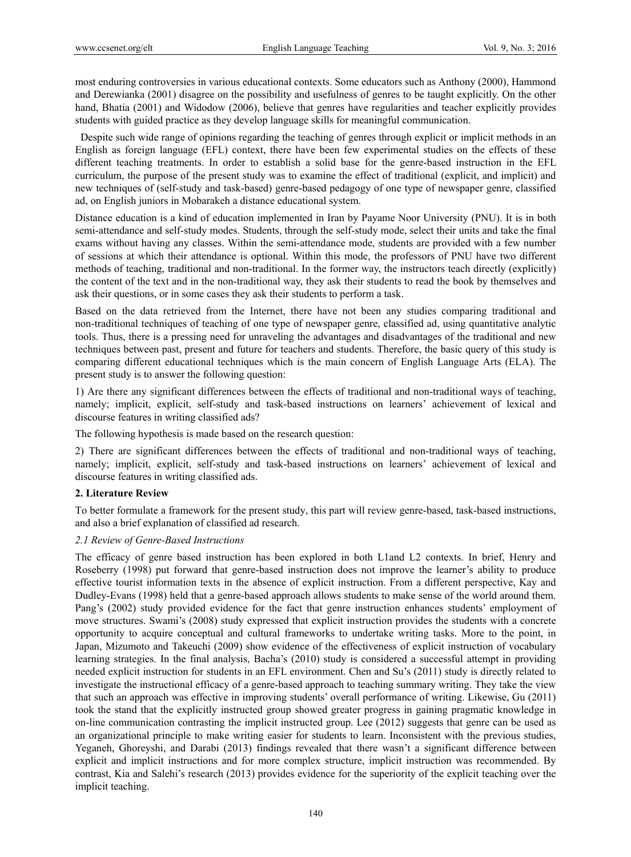most enduring controversies in various educational contexts. Some educators such as Anthony (2000), Hammond and Derewianka (2001) disagree on the possibility and usefulness of genres to be taught explicitly. On the other hand, Bhatia (2001) and Widodow (2006), believe that genres have regularities and teacher explicitly provides students with guided practice as they develop language skills for meaningful communication.

 Despite such wide range of opinions regarding the teaching of genres through explicit or implicit methods in an English as foreign language (EFL) context, there have been few experimental studies on the effects of these different teaching treatments. In order to establish a solid base for the genre-based instruction in the EFL curriculum, the purpose of the present study was to examine the effect of traditional (explicit, and implicit) and new techniques of (self-study and task-based) genre-based pedagogy of one type of newspaper genre, classified ad, on English juniors in Mobarakeh a distance educational system.

Distance education is a kind of education implemented in Iran by Payame Noor University (PNU). It is in both semi-attendance and self-study modes. Students, through the self-study mode, select their units and take the final exams without having any classes. Within the semi-attendance mode, students are provided with a few number of sessions at which their attendance is optional. Within this mode, the professors of PNU have two different methods of teaching, traditional and non-traditional. In the former way, the instructors teach directly (explicitly) the content of the text and in the non-traditional way, they ask their students to read the book by themselves and ask their questions, or in some cases they ask their students to perform a task.

Based on the data retrieved from the Internet, there have not been any studies comparing traditional and non-traditional techniques of teaching of one type of newspaper genre, classified ad, using quantitative analytic tools. Thus, there is a pressing need for unraveling the advantages and disadvantages of the traditional and new techniques between past, present and future for teachers and students. Therefore, the basic query of this study is comparing different educational techniques which is the main concern of English Language Arts (ELA). The present study is to answer the following question:

1) Are there any significant differences between the effects of traditional and non-traditional ways of teaching, namely; implicit, explicit, self-study and task-based instructions on learners' achievement of lexical and discourse features in writing classified ads?

The following hypothesis is made based on the research question:

2) There are significant differences between the effects of traditional and non-traditional ways of teaching, namely; implicit, explicit, self-study and task-based instructions on learners' achievement of lexical and discourse features in writing classified ads.

## **2. Literature Review**

To better formulate a framework for the present study, this part will review genre-based, task-based instructions, and also a brief explanation of classified ad research.

## *2.1 Review of Genre-Based Instructions*

The efficacy of genre based instruction has been explored in both L1and L2 contexts. In brief, Henry and Roseberry (1998) put forward that genre-based instruction does not improve the learner's ability to produce effective tourist information texts in the absence of explicit instruction. From a different perspective, Kay and Dudley-Evans (1998) held that a genre-based approach allows students to make sense of the world around them. Pang's (2002) study provided evidence for the fact that genre instruction enhances students' employment of move structures. Swami's (2008) study expressed that explicit instruction provides the students with a concrete opportunity to acquire conceptual and cultural frameworks to undertake writing tasks. More to the point, in Japan, Mizumoto and Takeuchi (2009) show evidence of the effectiveness of explicit instruction of vocabulary learning strategies. In the final analysis, Bacha's (2010) study is considered a successful attempt in providing needed explicit instruction for students in an EFL environment. Chen and Su's (2011) study is directly related to investigate the instructional efficacy of a genre-based approach to teaching summary writing. They take the view that such an approach was effective in improving students' overall performance of writing. Likewise, Gu (2011) took the stand that the explicitly instructed group showed greater progress in gaining pragmatic knowledge in on-line communication contrasting the implicit instructed group. Lee (2012) suggests that genre can be used as an organizational principle to make writing easier for students to learn. Inconsistent with the previous studies, Yeganeh, Ghoreyshi, and Darabi (2013) findings revealed that there wasn't a significant difference between explicit and implicit instructions and for more complex structure, implicit instruction was recommended. By contrast, Kia and Salehi's research (2013) provides evidence for the superiority of the explicit teaching over the implicit teaching.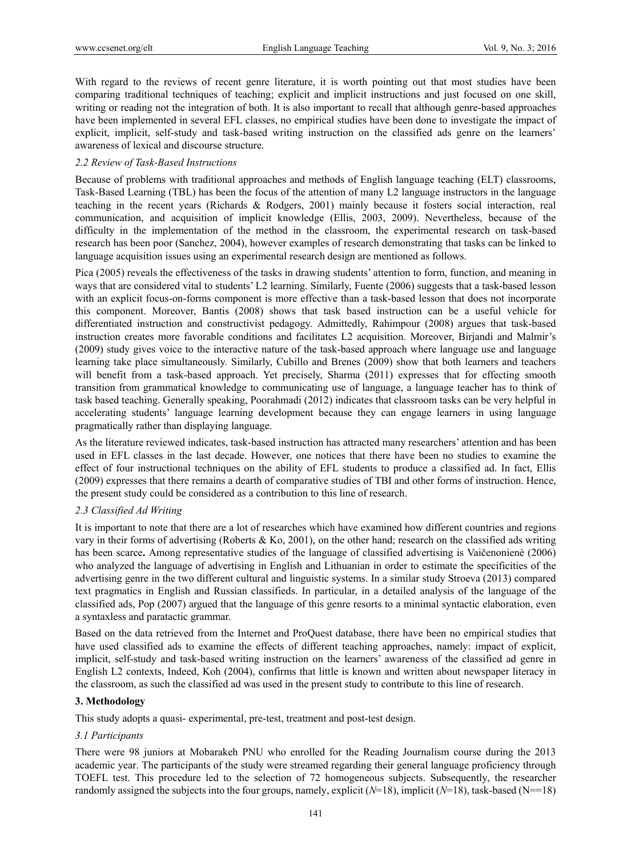With regard to the reviews of recent genre literature, it is worth pointing out that most studies have been comparing traditional techniques of teaching; explicit and implicit instructions and just focused on one skill, writing or reading not the integration of both. It is also important to recall that although genre-based approaches have been implemented in several EFL classes, no empirical studies have been done to investigate the impact of explicit, implicit, self-study and task-based writing instruction on the classified ads genre on the learners' awareness of lexical and discourse structure.

## *2.2 Review of Task-Based Instructions*

Because of problems with traditional approaches and methods of English language teaching (ELT) classrooms, Task-Based Learning (TBL) has been the focus of the attention of many L2 language instructors in the language teaching in the recent years (Richards & Rodgers, 2001) mainly because it fosters social interaction, real communication, and acquisition of implicit knowledge (Ellis, 2003, 2009). Nevertheless, because of the difficulty in the implementation of the method in the classroom, the experimental research on task-based research has been poor (Sanchez, 2004), however examples of research demonstrating that tasks can be linked to language acquisition issues using an experimental research design are mentioned as follows.

Pica (2005) reveals the effectiveness of the tasks in drawing students' attention to form, function, and meaning in ways that are considered vital to students' L2 learning. Similarly, Fuente (2006) suggests that a task-based lesson with an explicit focus-on-forms component is more effective than a task-based lesson that does not incorporate this component. Moreover, Bantis (2008) shows that task based instruction can be a useful vehicle for differentiated instruction and constructivist pedagogy. Admittedly, Rahimpour (2008) argues that task-based instruction creates more favorable conditions and facilitates L2 acquisition. Moreover, Birjandi and Malmir's (2009) study gives voice to the interactive nature of the task-based approach where language use and language learning take place simultaneously. Similarly, Cubillo and Brenes (2009) show that both learners and teachers will benefit from a task-based approach. Yet precisely, Sharma (2011) expresses that for effecting smooth transition from grammatical knowledge to communicating use of language, a language teacher has to think of task based teaching. Generally speaking, Poorahmadi (2012) indicates that classroom tasks can be very helpful in accelerating students' language learning development because they can engage learners in using language pragmatically rather than displaying language.

As the literature reviewed indicates, task-based instruction has attracted many researchers' attention and has been used in EFL classes in the last decade. However, one notices that there have been no studies to examine the effect of four instructional techniques on the ability of EFL students to produce a classified ad. In fact, Ellis (2009) expresses that there remains a dearth of comparative studies of TBI and other forms of instruction. Hence, the present study could be considered as a contribution to this line of research.

## *2.3 Classified Ad Writing*

It is important to note that there are a lot of researches which have examined how different countries and regions vary in their forms of advertising (Roberts & Ko, 2001), on the other hand; research on the classified ads writing has been scarce**.** Among representative studies of the language of classified advertising is Vaičenonienė (2006) who analyzed the language of advertising in English and Lithuanian in order to estimate the specificities of the advertising genre in the two different cultural and linguistic systems. In a similar study Stroeva (2013) compared text pragmatics in English and Russian classifieds. In particular, in a detailed analysis of the language of the classified ads, Pop (2007) argued that the language of this genre resorts to a minimal syntactic elaboration, even a syntaxless and paratactic grammar.

Based on the data retrieved from the Internet and ProQuest database, there have been no empirical studies that have used classified ads to examine the effects of different teaching approaches, namely: impact of explicit, implicit, self-study and task-based writing instruction on the learners' awareness of the classified ad genre in English L2 contexts, Indeed, Koh (2004), confirms that little is known and written about newspaper literacy in the classroom, as such the classified ad was used in the present study to contribute to this line of research.

## **3. Methodology**

This study adopts a quasi- experimental, pre-test, treatment and post-test design.

## *3.1 Participants*

There were 98 juniors at Mobarakeh PNU who enrolled for the Reading Journalism course during the 2013 academic year. The participants of the study were streamed regarding their general language proficiency through TOEFL test. This procedure led to the selection of 72 homogeneous subjects. Subsequently, the researcher randomly assigned the subjects into the four groups, namely, explicit  $(N=18)$ , implicit  $(N=18)$ , task-based  $(N=-18)$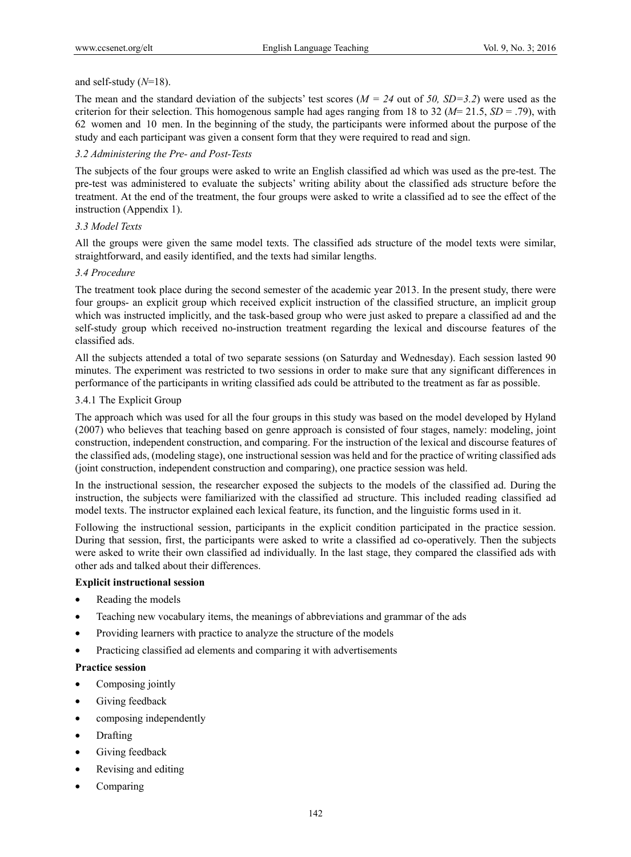#### and self-study (*N*=18).

The mean and the standard deviation of the subjects' test scores (*M = 24* out of *50, SD=3.2*) were used as the criterion for their selection. This homogenous sample had ages ranging from 18 to 32 ( $M= 21.5$ ,  $SD = .79$ ), with 62 women and 10 men. In the beginning of the study, the participants were informed about the purpose of the study and each participant was given a consent form that they were required to read and sign.

#### *3.2 Administering the Pre- and Post-Tests*

The subjects of the four groups were asked to write an English classified ad which was used as the pre-test. The pre-test was administered to evaluate the subjects' writing ability about the classified ads structure before the treatment. At the end of the treatment, the four groups were asked to write a classified ad to see the effect of the instruction (Appendix 1).

## *3.3 Model Texts*

All the groups were given the same model texts. The classified ads structure of the model texts were similar, straightforward, and easily identified, and the texts had similar lengths.

## *3.4 Procedure*

The treatment took place during the second semester of the academic year 2013. In the present study, there were four groups- an explicit group which received explicit instruction of the classified structure, an implicit group which was instructed implicitly, and the task-based group who were just asked to prepare a classified ad and the self-study group which received no-instruction treatment regarding the lexical and discourse features of the classified ads.

All the subjects attended a total of two separate sessions (on Saturday and Wednesday). Each session lasted 90 minutes. The experiment was restricted to two sessions in order to make sure that any significant differences in performance of the participants in writing classified ads could be attributed to the treatment as far as possible.

## 3.4.1 The Explicit Group

The approach which was used for all the four groups in this study was based on the model developed by Hyland (2007) who believes that teaching based on genre approach is consisted of four stages, namely: modeling, joint construction, independent construction, and comparing. For the instruction of the lexical and discourse features of the classified ads, (modeling stage), one instructional session was held and for the practice of writing classified ads (joint construction, independent construction and comparing), one practice session was held.

In the instructional session, the researcher exposed the subjects to the models of the classified ad. During the instruction, the subjects were familiarized with the classified ad structure. This included reading classified ad model texts. The instructor explained each lexical feature, its function, and the linguistic forms used in it.

Following the instructional session, participants in the explicit condition participated in the practice session. During that session, first, the participants were asked to write a classified ad co-operatively. Then the subjects were asked to write their own classified ad individually. In the last stage, they compared the classified ads with other ads and talked about their differences.

#### **Explicit instructional session**

- Reading the models
- Teaching new vocabulary items, the meanings of abbreviations and grammar of the ads
- Providing learners with practice to analyze the structure of the models
- Practicing classified ad elements and comparing it with advertisements

#### **Practice session**

- Composing jointly
- Giving feedback
- composing independently
- Drafting
- Giving feedback
- Revising and editing
- Comparing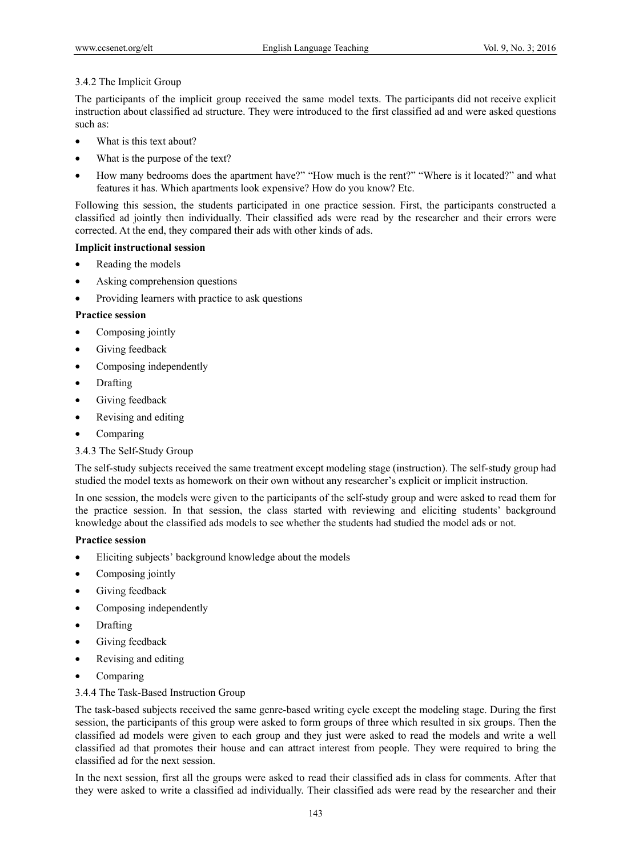# 3.4.2 The Implicit Group

The participants of the implicit group received the same model texts. The participants did not receive explicit instruction about classified ad structure. They were introduced to the first classified ad and were asked questions such as:

- What is this text about?
- What is the purpose of the text?
- How many bedrooms does the apartment have?" "How much is the rent?" "Where is it located?" and what features it has. Which apartments look expensive? How do you know? Etc.

Following this session, the students participated in one practice session. First, the participants constructed a classified ad jointly then individually. Their classified ads were read by the researcher and their errors were corrected. At the end, they compared their ads with other kinds of ads.

# **Implicit instructional session**

- Reading the models
- Asking comprehension questions
- Providing learners with practice to ask questions

# **Practice session**

- Composing jointly
- Giving feedback
- Composing independently
- Drafting
- Giving feedback
- Revising and editing
- Comparing

# 3.4.3 The Self-Study Group

The self-study subjects received the same treatment except modeling stage (instruction). The self-study group had studied the model texts as homework on their own without any researcher's explicit or implicit instruction.

In one session, the models were given to the participants of the self-study group and were asked to read them for the practice session. In that session, the class started with reviewing and eliciting students' background knowledge about the classified ads models to see whether the students had studied the model ads or not.

# **Practice session**

- Eliciting subjects' background knowledge about the models
- Composing jointly
- Giving feedback
- Composing independently
- Drafting
- Giving feedback
- Revising and editing
- Comparing
- 3.4.4 The Task-Based Instruction Group

The task-based subjects received the same genre-based writing cycle except the modeling stage. During the first session, the participants of this group were asked to form groups of three which resulted in six groups. Then the classified ad models were given to each group and they just were asked to read the models and write a well classified ad that promotes their house and can attract interest from people. They were required to bring the classified ad for the next session.

In the next session, first all the groups were asked to read their classified ads in class for comments. After that they were asked to write a classified ad individually. Their classified ads were read by the researcher and their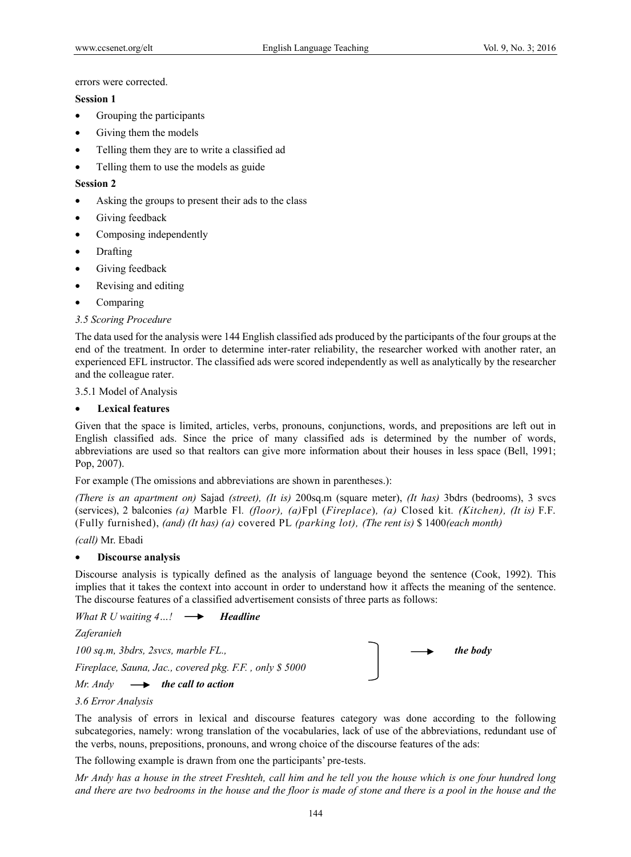errors were corrected.

#### **Session 1**

- Grouping the participants
- Giving them the models
- Telling them they are to write a classified ad
- Telling them to use the models as guide

## **Session 2**

- Asking the groups to present their ads to the class
- Giving feedback
- Composing independently
- Drafting
- Giving feedback
- Revising and editing
- Comparing

#### *3.5 Scoring Procedure*

The data used for the analysis were 144 English classified ads produced by the participants of the four groups at the end of the treatment. In order to determine inter-rater reliability, the researcher worked with another rater, an experienced EFL instructor. The classified ads were scored independently as well as analytically by the researcher and the colleague rater.

3.5.1 Model of Analysis

## **Lexical features**

Given that the space is limited, articles, verbs, pronouns, conjunctions, words, and prepositions are left out in English classified ads. Since the price of many classified ads is determined by the number of words, abbreviations are used so that realtors can give more information about their houses in less space (Bell, 1991; Pop, 2007).

For example (The omissions and abbreviations are shown in parentheses.):

*(There is an apartment on)* Sajad *(street), (It is)* 200sq.m (square meter), *(It has)* 3bdrs (bedrooms), 3 svcs (services), 2 balconies *(a)* Marble Fl*. (floor), (a)*Fpl (*Fireplace*)*, (a)* Closed kit*. (Kitchen), (It is)* F.F. (Fully furnished), *(and) (It has) (a)* covered PL *(parking lot), (The rent is)* \$ 1400*(each month)* 

*(call)* Mr. Ebadi

## **Discourse analysis**

Discourse analysis is typically defined as the analysis of language beyond the sentence (Cook, 1992). This implies that it takes the context into account in order to understand how it affects the meaning of the sentence. The discourse features of a classified advertisement consists of three parts as follows:

*What R U waiting 4...!*  $\rightarrow$  *Headline* 

*Zaferanieh* 

*100 sq.m, 3bdrs, 2svcs, marble FL., the body*

*Fireplace, Sauna, Jac., covered pkg. F.F. , only \$ 5000* 

*Mr. Andy the call to action*



The analysis of errors in lexical and discourse features category was done according to the following subcategories, namely: wrong translation of the vocabularies, lack of use of the abbreviations, redundant use of the verbs, nouns, prepositions, pronouns, and wrong choice of the discourse features of the ads:

The following example is drawn from one the participants' pre-tests.

*Mr Andy has a house in the street Freshteh, call him and he tell you the house which is one four hundred long and there are two bedrooms in the house and the floor is made of stone and there is a pool in the house and the*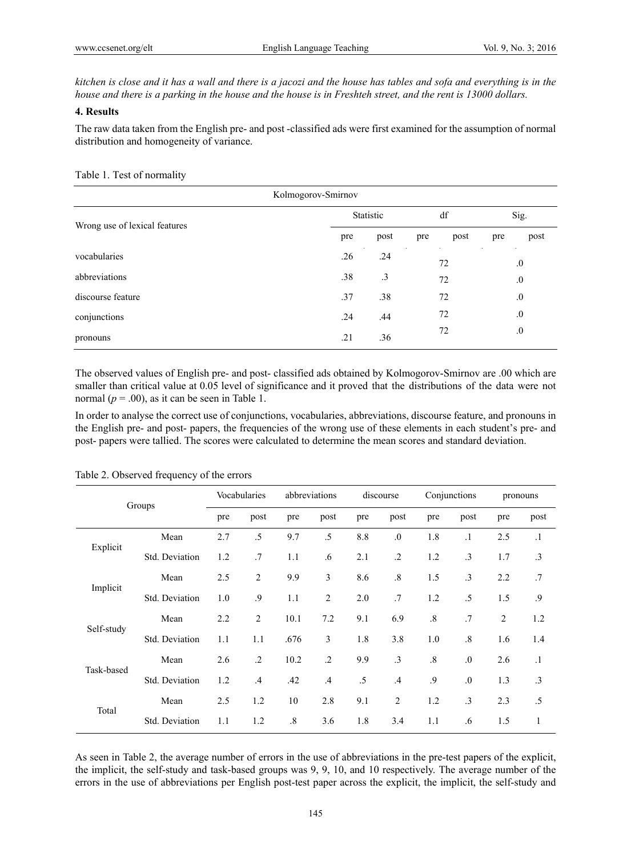*kitchen is close and it has a wall and there is a jacozi and the house has tables and sofa and everything is in the house and there is a parking in the house and the house is in Freshteh street, and the rent is 13000 dollars.* 

#### **4. Results**

The raw data taken from the English pre- and post -classified ads were first examined for the assumption of normal distribution and homogeneity of variance.

#### Table 1. Test of normality

| Kolmogorov-Smirnov            |     |           |     |      |         |         |  |  |  |
|-------------------------------|-----|-----------|-----|------|---------|---------|--|--|--|
| Wrong use of lexical features |     | Statistic | df  |      | Sig.    |         |  |  |  |
|                               | pre | post      | pre | post | pre     | post    |  |  |  |
| vocabularies                  | .26 | .24       | 72  |      | $\cdot$ |         |  |  |  |
| abbreviations                 | .38 | $\cdot$ 3 | 72  |      | $\cdot$ |         |  |  |  |
| discourse feature             | .37 | .38       | 72  |      |         | $\cdot$ |  |  |  |
| conjunctions                  | .24 | .44       |     | 72   |         | $\cdot$ |  |  |  |
| pronouns                      | .21 | .36       |     | 72   |         | $\cdot$ |  |  |  |

The observed values of English pre- and post- classified ads obtained by Kolmogorov-Smirnov are .00 which are smaller than critical value at 0.05 level of significance and it proved that the distributions of the data were not normal  $(p = .00)$ , as it can be seen in Table 1.

In order to analyse the correct use of conjunctions, vocabularies, abbreviations, discourse feature, and pronouns in the English pre- and post- papers, the frequencies of the wrong use of these elements in each student's pre- and post- papers were tallied. The scores were calculated to determine the mean scores and standard deviation.

| Groups     |                | Vocabularies |                | abbreviations |                | discourse |                  | Conjunctions      |                      | pronouns       |           |
|------------|----------------|--------------|----------------|---------------|----------------|-----------|------------------|-------------------|----------------------|----------------|-----------|
|            |                | pre          | post           | pre           | post           | pre       | post             | pre               | post                 | pre            | post      |
| Explicit   | Mean           | 2.7          | .5             | 9.7           | $.5\,$         | 8.8       | $\boldsymbol{0}$ | 1.8               | $\cdot$ 1            | 2.5            | $\cdot$ 1 |
|            | Std. Deviation | 1.2          | .7             | 1.1           | .6             | 2.1       | $\cdot$ .2       | 1.2               | .3                   | 1.7            | .3        |
| Implicit   | Mean           | 2.5          | $\overline{2}$ | 9.9           | 3              | 8.6       | .8               | 1.5               | $\cdot$ 3            | 2.2            | .7        |
|            | Std. Deviation | 1.0          | .9             | 1.1           | $\overline{2}$ | 2.0       | .7               | 1.2               | .5                   | 1.5            | .9        |
| Self-study | Mean           | 2.2          | $\overline{c}$ | 10.1          | 7.2            | 9.1       | 6.9              | $\boldsymbol{.8}$ | $.7\,$               | $\overline{2}$ | 1.2       |
|            | Std. Deviation | 1.1          | 1.1            | .676          | 3              | 1.8       | 3.8              | 1.0               | $\cdot$ <sup>8</sup> | 1.6            | 1.4       |
| Task-based | Mean           | 2.6          | $\cdot$        | 10.2          | $\cdot$        | 9.9       | $\cdot$ 3        | .8                | $\overline{0}$       | 2.6            | $\cdot$ 1 |
|            | Std. Deviation | 1.2          | .4             | .42           | .4             | .5        | .4               | .9                | $\overline{0}$       | 1.3            | $\cdot$ 3 |
| Total      | Mean           | 2.5          | 1.2            | 10            | 2.8            | 9.1       | $\overline{2}$   | 1.2               | .3                   | 2.3            | .5        |
|            | Std. Deviation | 1.1          | 1.2            | $\cdot$ 8     | 3.6            | 1.8       | 3.4              | 1.1               | .6                   | 1.5            | 1         |

Table 2. Observed frequency of the errors

As seen in Table 2, the average number of errors in the use of abbreviations in the pre-test papers of the explicit, the implicit, the self-study and task-based groups was 9, 9, 10, and 10 respectively. The average number of the errors in the use of abbreviations per English post-test paper across the explicit, the implicit, the self-study and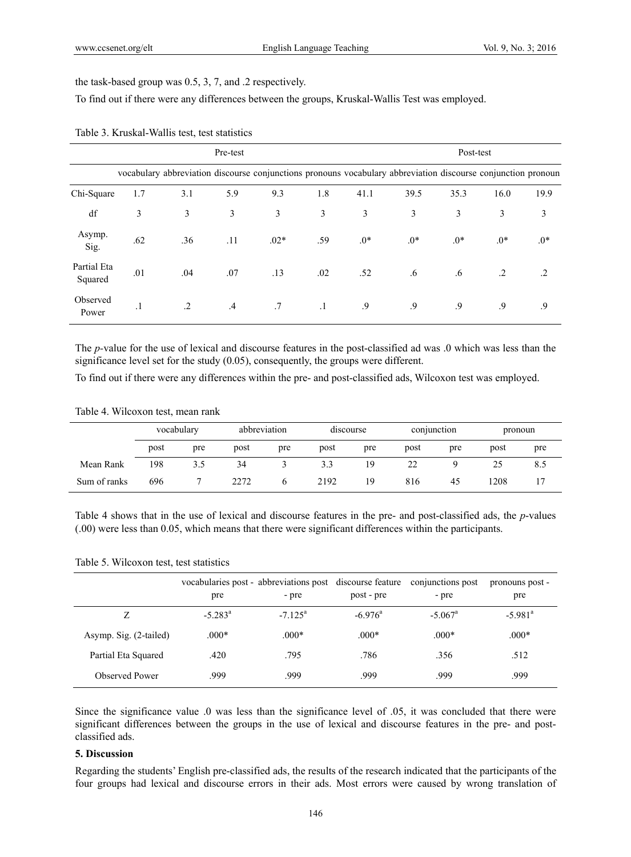the task-based group was 0.5, 3, 7, and .2 respectively.

To find out if there were any differences between the groups, Kruskal-Wallis Test was employed.

|                        |         |         | Pre-test |                                                                                                               | Post-test |       |       |       |            |         |
|------------------------|---------|---------|----------|---------------------------------------------------------------------------------------------------------------|-----------|-------|-------|-------|------------|---------|
|                        |         |         |          | vocabulary abbreviation discourse conjunctions pronouns vocabulary abbreviation discourse conjunction pronoun |           |       |       |       |            |         |
| Chi-Square             | 1.7     | 3.1     | 5.9      | 9.3                                                                                                           | 1.8       | 41.1  | 39.5  | 35.3  | 16.0       | 19.9    |
| df                     | 3       | 3       | 3        | 3                                                                                                             | 3         | 3     | 3     | 3     | 3          | 3       |
| Asymp.<br>Sig.         | .62     | .36     | .11      | $.02*$                                                                                                        | .59       | $.0*$ | $.0*$ | $.0*$ | $.0*$      | $.0*$   |
| Partial Eta<br>Squared | .01     | .04     | .07      | .13                                                                                                           | .02       | .52   | .6    | .6    | $\cdot$ .2 | $\cdot$ |
| Observed<br>Power      | $\cdot$ | $\cdot$ | .4       | .7                                                                                                            | $\cdot$ 1 | .9    | .9    | .9    | .9         | .9      |

Table 3. Kruskal-Wallis test, test statistics

The *p-*value for the use of lexical and discourse features in the post-classified ad was .0 which was less than the significance level set for the study (0.05), consequently, the groups were different.

To find out if there were any differences within the pre- and post-classified ads, Wilcoxon test was employed.

Table 4. Wilcoxon test, mean rank

|              | vocabulary |     |      | abbreviation<br>discourse |      |     | conjunction |     | pronoun |     |
|--------------|------------|-----|------|---------------------------|------|-----|-------------|-----|---------|-----|
|              | post       | pre | post | pre                       | post | pre | post        | pre | post    | pre |
| Mean Rank    | 198        | 3.5 | 34   |                           | 3.3  | 19  | 22          |     |         | 8.5 |
| Sum of ranks | 696        |     | 2272 |                           | 2192 | 19  | 816         | 45  | 1208    |     |

Table 4 shows that in the use of lexical and discourse features in the pre- and post-classified ads, the *p*-values (.00) were less than 0.05, which means that there were significant differences within the participants.

Table 5. Wilcoxon test, test statistics

|                        | pre              | vocabularies post - abbreviations post discourse feature<br>- pre | post - pre            | conjunctions post<br>- pre | pronouns post -<br>pre |
|------------------------|------------------|-------------------------------------------------------------------|-----------------------|----------------------------|------------------------|
| Z                      | $-5.283^{\circ}$ | $-7125^{\circ}$                                                   | $-6.976$ <sup>a</sup> | $-5.067$ <sup>a</sup>      | $-5.981$ <sup>a</sup>  |
| Asymp. Sig. (2-tailed) | $.000*$          | $.000*$                                                           | $.000*$               | $.000*$                    | $.000*$                |
| Partial Eta Squared    | .420             | .795                                                              | .786                  | .356                       | .512                   |
| Observed Power         | .999             | .999                                                              | .999                  | .999                       | .999                   |

Since the significance value .0 was less than the significance level of .05, it was concluded that there were significant differences between the groups in the use of lexical and discourse features in the pre- and postclassified ads.

## **5. Discussion**

Regarding the students' English pre-classified ads, the results of the research indicated that the participants of the four groups had lexical and discourse errors in their ads. Most errors were caused by wrong translation of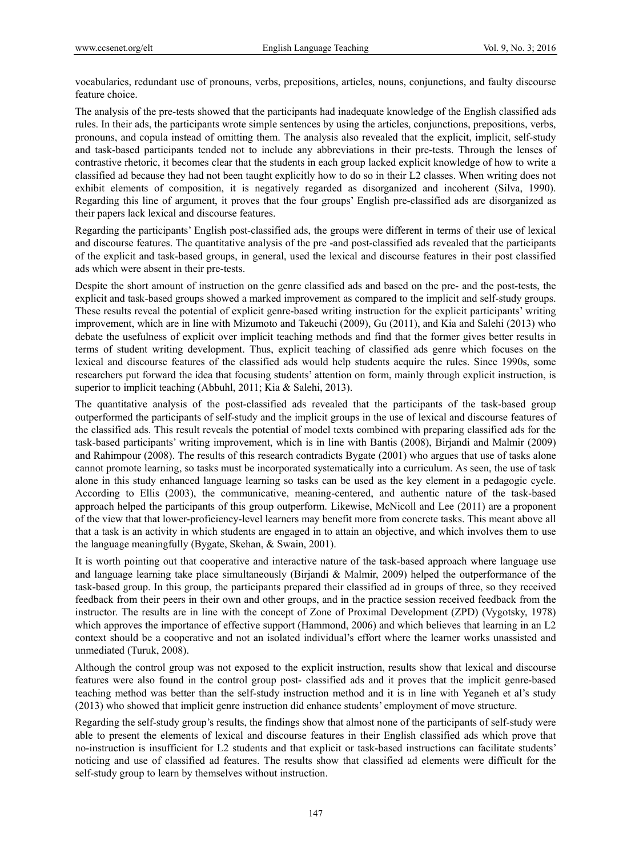vocabularies, redundant use of pronouns, verbs, prepositions, articles, nouns, conjunctions, and faulty discourse feature choice.

The analysis of the pre-tests showed that the participants had inadequate knowledge of the English classified ads rules. In their ads, the participants wrote simple sentences by using the articles, conjunctions, prepositions, verbs, pronouns, and copula instead of omitting them. The analysis also revealed that the explicit, implicit, self-study and task-based participants tended not to include any abbreviations in their pre-tests. Through the lenses of contrastive rhetoric, it becomes clear that the students in each group lacked explicit knowledge of how to write a classified ad because they had not been taught explicitly how to do so in their L2 classes. When writing does not exhibit elements of composition, it is negatively regarded as disorganized and incoherent (Silva, 1990). Regarding this line of argument, it proves that the four groups' English pre-classified ads are disorganized as their papers lack lexical and discourse features.

Regarding the participants' English post-classified ads, the groups were different in terms of their use of lexical and discourse features. The quantitative analysis of the pre -and post-classified ads revealed that the participants of the explicit and task-based groups, in general, used the lexical and discourse features in their post classified ads which were absent in their pre-tests.

Despite the short amount of instruction on the genre classified ads and based on the pre- and the post-tests, the explicit and task-based groups showed a marked improvement as compared to the implicit and self-study groups. These results reveal the potential of explicit genre-based writing instruction for the explicit participants' writing improvement, which are in line with Mizumoto and Takeuchi (2009), Gu (2011), and Kia and Salehi (2013) who debate the usefulness of explicit over implicit teaching methods and find that the former gives better results in terms of student writing development. Thus, explicit teaching of classified ads genre which focuses on the lexical and discourse features of the classified ads would help students acquire the rules. Since 1990s, some researchers put forward the idea that focusing students' attention on form, mainly through explicit instruction, is superior to implicit teaching (Abbuhl, 2011; Kia & Salehi, 2013).

The quantitative analysis of the post-classified ads revealed that the participants of the task-based group outperformed the participants of self-study and the implicit groups in the use of lexical and discourse features of the classified ads. This result reveals the potential of model texts combined with preparing classified ads for the task-based participants' writing improvement, which is in line with Bantis (2008), Birjandi and Malmir (2009) and Rahimpour (2008). The results of this research contradicts Bygate (2001) who argues that use of tasks alone cannot promote learning, so tasks must be incorporated systematically into a curriculum. As seen, the use of task alone in this study enhanced language learning so tasks can be used as the key element in a pedagogic cycle. According to Ellis (2003), the communicative, meaning-centered, and authentic nature of the task-based approach helped the participants of this group outperform. Likewise, McNicoll and Lee (2011) are a proponent of the view that that lower-proficiency-level learners may benefit more from concrete tasks. This meant above all that a task is an activity in which students are engaged in to attain an objective, and which involves them to use the language meaningfully (Bygate, Skehan, & Swain, 2001).

It is worth pointing out that cooperative and interactive nature of the task-based approach where language use and language learning take place simultaneously (Birjandi & Malmir, 2009) helped the outperformance of the task-based group. In this group, the participants prepared their classified ad in groups of three, so they received feedback from their peers in their own and other groups, and in the practice session received feedback from the instructor. The results are in line with the concept of Zone of Proximal Development (ZPD) (Vygotsky, 1978) which approves the importance of effective support (Hammond, 2006) and which believes that learning in an L2 context should be a cooperative and not an isolated individual's effort where the learner works unassisted and unmediated (Turuk, 2008).

Although the control group was not exposed to the explicit instruction, results show that lexical and discourse features were also found in the control group post- classified ads and it proves that the implicit genre-based teaching method was better than the self-study instruction method and it is in line with Yeganeh et al's study (2013) who showed that implicit genre instruction did enhance students' employment of move structure.

Regarding the self-study group's results, the findings show that almost none of the participants of self-study were able to present the elements of lexical and discourse features in their English classified ads which prove that no-instruction is insufficient for L2 students and that explicit or task-based instructions can facilitate students' noticing and use of classified ad features. The results show that classified ad elements were difficult for the self-study group to learn by themselves without instruction.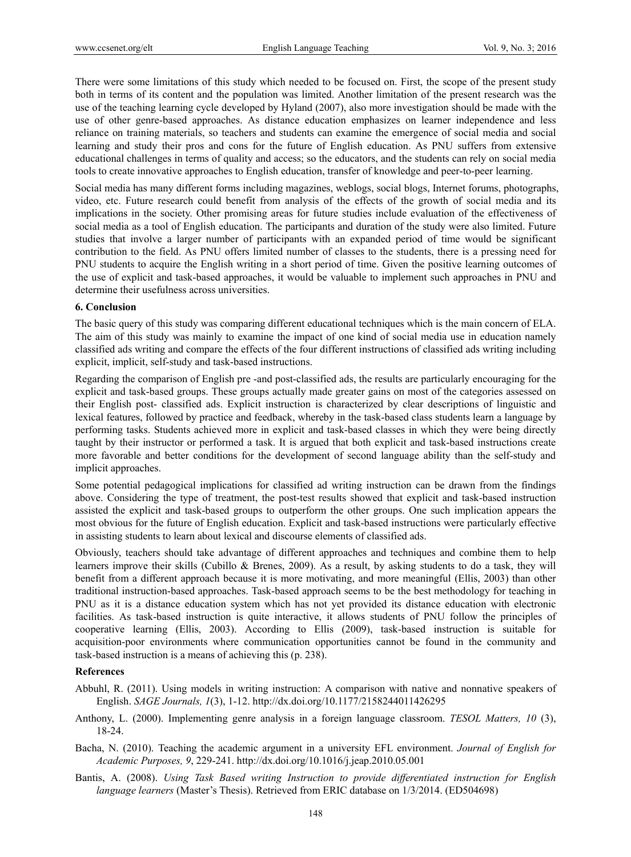There were some limitations of this study which needed to be focused on. First, the scope of the present study both in terms of its content and the population was limited. Another limitation of the present research was the use of the teaching learning cycle developed by Hyland (2007), also more investigation should be made with the use of other genre-based approaches. As distance education emphasizes on learner independence and less reliance on training materials, so teachers and students can examine the emergence of social media and social learning and study their pros and cons for the future of English education. As PNU suffers from extensive educational challenges in terms of quality and access; so the educators, and the students can rely on social media tools to create innovative approaches to English education, transfer of knowledge and peer-to-peer learning.

Social media has many different forms including magazines, weblogs, social blogs, Internet forums, photographs, video, etc. Future research could benefit from analysis of the effects of the growth of social media and its implications in the society. Other promising areas for future studies include evaluation of the effectiveness of social media as a tool of English education. The participants and duration of the study were also limited. Future studies that involve a larger number of participants with an expanded period of time would be significant contribution to the field. As PNU offers limited number of classes to the students, there is a pressing need for PNU students to acquire the English writing in a short period of time. Given the positive learning outcomes of the use of explicit and task-based approaches, it would be valuable to implement such approaches in PNU and determine their usefulness across universities.

## **6. Conclusion**

The basic query of this study was comparing different educational techniques which is the main concern of ELA. The aim of this study was mainly to examine the impact of one kind of social media use in education namely classified ads writing and compare the effects of the four different instructions of classified ads writing including explicit, implicit, self-study and task-based instructions.

Regarding the comparison of English pre -and post-classified ads, the results are particularly encouraging for the explicit and task-based groups. These groups actually made greater gains on most of the categories assessed on their English post- classified ads. Explicit instruction is characterized by clear descriptions of linguistic and lexical features, followed by practice and feedback, whereby in the task-based class students learn a language by performing tasks. Students achieved more in explicit and task-based classes in which they were being directly taught by their instructor or performed a task. It is argued that both explicit and task-based instructions create more favorable and better conditions for the development of second language ability than the self-study and implicit approaches.

Some potential pedagogical implications for classified ad writing instruction can be drawn from the findings above. Considering the type of treatment, the post-test results showed that explicit and task-based instruction assisted the explicit and task-based groups to outperform the other groups. One such implication appears the most obvious for the future of English education. Explicit and task-based instructions were particularly effective in assisting students to learn about lexical and discourse elements of classified ads.

Obviously, teachers should take advantage of different approaches and techniques and combine them to help learners improve their skills (Cubillo & Brenes, 2009). As a result, by asking students to do a task, they will benefit from a different approach because it is more motivating, and more meaningful (Ellis, 2003) than other traditional instruction-based approaches. Task-based approach seems to be the best methodology for teaching in PNU as it is a distance education system which has not yet provided its distance education with electronic facilities. As task-based instruction is quite interactive, it allows students of PNU follow the principles of cooperative learning (Ellis, 2003). According to Ellis (2009), task-based instruction is suitable for acquisition-poor environments where communication opportunities cannot be found in the community and task-based instruction is a means of achieving this (p. 238).

## **References**

- Abbuhl, R. (2011). Using models in writing instruction: A comparison with native and nonnative speakers of English. *SAGE Journals, 1*(3), 1-12. http://dx.doi.org/10.1177/2158244011426295
- Anthony, L. (2000). Implementing genre analysis in a foreign language classroom. *TESOL Matters, 10* (3), 18-24.
- Bacha, N. (2010). Teaching the academic argument in a university EFL environment. *Journal of English for Academic Purposes, 9*, 229-241. http://dx.doi.org/10.1016/j.jeap.2010.05.001
- Bantis, A. (2008). *Using Task Based writing Instruction to provide differentiated instruction for English language learners* (Master's Thesis). Retrieved from ERIC database on 1/3/2014. (ED504698)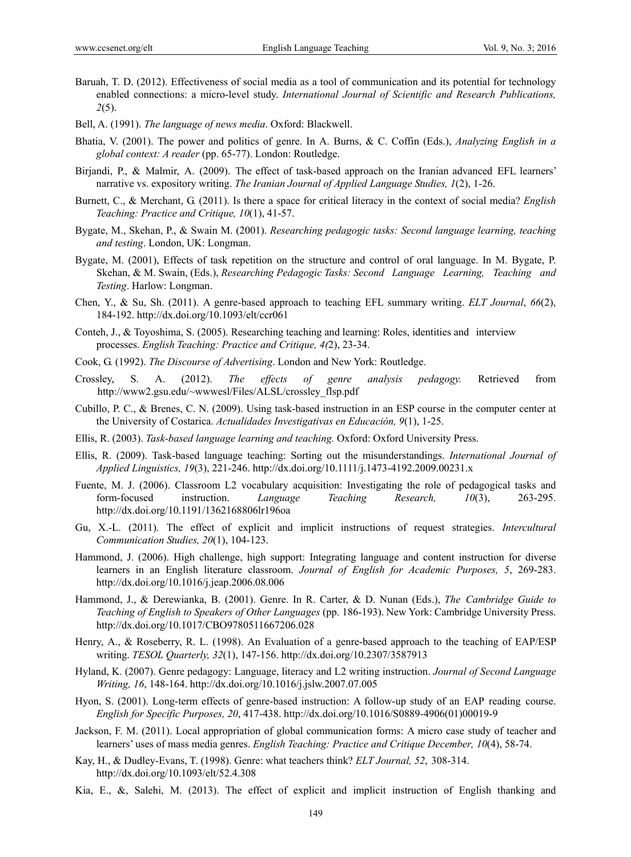Baruah, T. D. (2012). Effectiveness of social media as a tool of communication and its potential for technology enabled connections: a micro-level study. *International Journal of Scientific and Research Publications, 2*(5).

Bell, A. (1991). *The language of news media*. Oxford: Blackwell.

- Bhatia, V. (2001). The power and politics of genre. In A. Burns, & C. Coffin (Eds.), *Analyzing English in a global context: A reader* (pp. 65-77). London: Routledge.
- Birjandi, P., & Malmir, A. (2009). The effect of task-based approach on the Iranian advanced EFL learners' narrative vs. expository writing. *The Iranian Journal of Applied Language Studies, 1*(2), 1-26.
- Burnett, C., & Merchant, G. (2011). Is there a space for critical literacy in the context of social media? *English Teaching: Practice and Critique, 10*(1), 41-57.
- Bygate, M., Skehan, P., & Swain M. (2001). *Researching pedagogic tasks: Second language learning, teaching and testing*. London, UK: Longman.
- Bygate, M. (2001), Effects of task repetition on the structure and control of oral language. In M. Bygate, P. Skehan, & M. Swain, (Eds.), *Researching Pedagogic Tasks: Second Language Learning, Teaching and Testing*. Harlow: Longman.
- Chen, Y., & Su, Sh. (2011). A genre-based approach to teaching EFL summary writing. *ELT Journal*, *66*(2), 184-192. http://dx.doi.org/10.1093/elt/ccr061
- Conteh, J., & Toyoshima, S. (2005). Researching teaching and learning: Roles, identities and interview processes. *English Teaching: Practice and Critique, 4(*2), 23-34.
- Cook, G. (1992). *The Discourse of Advertising*. London and New York: Routledge.
- Crossley, S. A. (2012). *The effects of genre analysis pedagogy.* Retrieved from http://www2.gsu.edu/~wwwesl/Files/ALSL/crossley\_flsp.pdf
- Cubillo, P. C., & Brenes, C. N. (2009). Using task-based instruction in an ESP course in the computer center at the University of Costarica. *Actualidades Investigativas en Educación, 9*(1), 1-25.
- Ellis, R. (2003). *Task-based language learning and teaching.* Oxford: Oxford University Press.
- Ellis, R. (2009). Task-based language teaching: Sorting out the misunderstandings. *International Journal of Applied Linguistics, 19*(3), 221-246. http://dx.doi.org/10.1111/j.1473-4192.2009.00231.x
- Fuente, M. J. (2006). Classroom L2 vocabulary acquisition: Investigating the role of pedagogical tasks and form-focused instruction. *Language Teaching Research, 10*(3), 263-295. http://dx.doi.org/10.1191/1362168806lr196oa
- Gu, X.-L. (2011). The effect of explicit and implicit instructions of request strategies. *Intercultural Communication Studies, 20*(1), 104-123.
- Hammond, J. (2006). High challenge, high support: Integrating language and content instruction for diverse learners in an English literature classroom. *Journal of English for Academic Purposes, 5*, 269-283. http://dx.doi.org/10.1016/j.jeap.2006.08.006
- Hammond, J., & Derewianka, B. (2001). Genre. In R. Carter, & D. Nunan (Eds.), *The Cambridge Guide to Teaching of English to Speakers of Other Languages* (pp. 186- 193). New York: Cambridge University Press. http://dx.doi.org/10.1017/CBO9780511667206.028
- Henry, A., & Roseberry, R. L. (1998). An Evaluation of a genre-based approach to the teaching of EAP/ESP writing. *TESOL Quarterly, 32*(1), 147-156. http://dx.doi.org/10.2307/3587913
- Hyland, K. (2007). Genre pedagogy: Language, literacy and L2 writing instruction. *Journal of Second Language Writing, 16*, 148-164. http://dx.doi.org/10.1016/j.jslw.2007.07.005
- Hyon, S. (2001). Long-term effects of genre-based instruction: A follow-up study of an EAP reading course. *English for Specific Purposes, 20*, 417-438. http://dx.doi.org/10.1016/S0889-4906(01)00019-9
- Jackson, F. M. (2011). Local appropriation of global communication forms: A micro case study of teacher and learners' uses of mass media genres. *English Teaching: Practice and Critique December, 10*(4), 58-74.
- Kay, H., & Dudley-Evans, T. (1998). Genre: what teachers think? *ELT Journal, 52*, 308-314. http://dx.doi.org/10.1093/elt/52.4.308
- Kia, E., &, Salehi, M. (2013). The effect of explicit and implicit instruction of English thanking and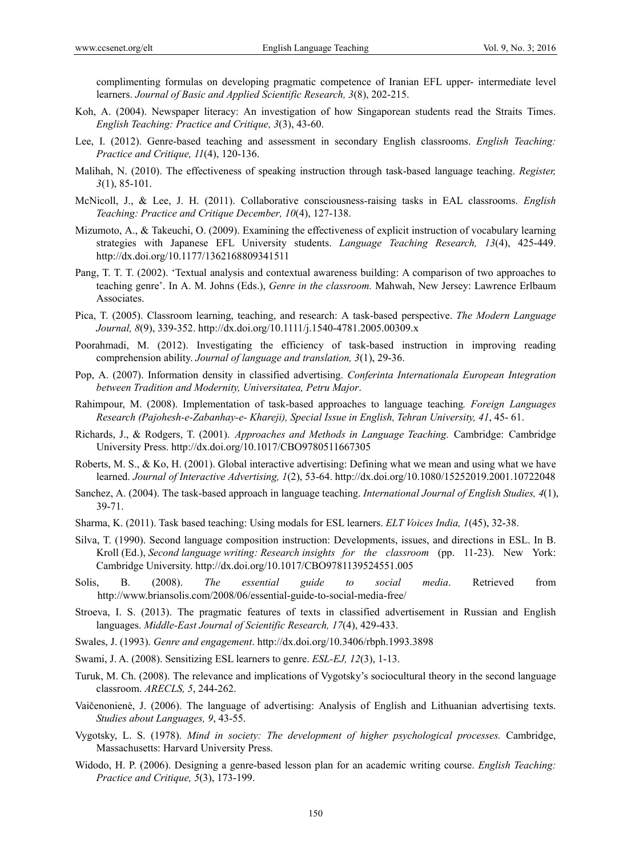complimenting formulas on developing pragmatic competence of Iranian EFL upper- intermediate level learners. *Journal of Basic and Applied Scientific Research, 3*(8), 202-215.

- Koh, A. (2004). Newspaper literacy: An investigation of how Singaporean students read the Straits Times. *English Teaching: Practice and Critique, 3*(3), 43-60.
- Lee, I. (2012). Genre-based teaching and assessment in secondary English classrooms. *English Teaching: Practice and Critique, 11*(4), 120-136.
- Malihah, N. (2010). The effectiveness of speaking instruction through task-based language teaching. *Register, 3*(1), 85-101.
- McNicoll, J., & Lee, J. H. (2011). Collaborative consciousness-raising tasks in EAL classrooms. *English Teaching: Practice and Critique December, 10*(4), 127-138.
- Mizumoto, A., & Takeuchi, O. (2009). Examining the effectiveness of explicit instruction of vocabulary learning strategies with Japanese EFL University students. *Language Teaching Research, 13*(4), 425-449. http://dx.doi.org/10.1177/1362168809341511
- Pang, T. T. T. (2002). 'Textual analysis and contextual awareness building: A comparison of two approaches to teaching genre'. In A. M. Johns (Eds.), *Genre in the classroom.* Mahwah, New Jersey: Lawrence Erlbaum Associates.
- Pica, T. (2005). Classroom learning, teaching, and research: A task-based perspective. *The Modern Language Journal, 8*(9), 339-352. http://dx.doi.org/10.1111/j.1540-4781.2005.00309.x
- Poorahmadi, M. (2012). Investigating the efficiency of task-based instruction in improving reading comprehension ability. *Journal of language and translation, 3*(1), 29-36.
- Pop, A. (2007). Information density in classified advertising. *Conferinta Internationala European Integration between Tradition and Modernity, Universitatea, Petru Major*.
- Rahimpour, M. (2008). Implementation of task-based approaches to language teaching*. Foreign Languages Research (Pajohesh-e-Zabanhay-e- Khareji), Special Issue in English, Tehran University, 41*, 45- 61.
- Richards, J., & Rodgers, T. (2001). *Approaches and Methods in Language Teaching.* Cambridge: Cambridge University Press. http://dx.doi.org/10.1017/CBO9780511667305
- Roberts, M. S., & Ko, H. (2001). Global interactive advertising: Defining what we mean and using what we have learned. *Journal of Interactive Advertising, 1*(2), 53-64. http://dx.doi.org/10.1080/15252019.2001.10722048
- Sanchez, A. (2004). The task-based approach in language teaching. *International Journal of English Studies, 4*(1), 39-71.
- Sharma, K. (2011). Task based teaching: Using modals for ESL learners. *ELT Voices India, 1*(45), 32-38.
- Silva, T. (1990). Second language composition instruction: Developments, issues, and directions in ESL. In B. Kroll (Ed.), *Second language writing: Research insights for the classroom* (pp. 11-23). New York: Cambridge University. http://dx.doi.org/10.1017/CBO9781139524551.005
- Solis, B. (2008). *The essential guide to social media*. Retrieved from http://www.briansolis.com/2008/06/essential-guide-to-social-media-free/
- Stroeva, I. S. (2013). The pragmatic features of texts in classified advertisement in Russian and English languages. *Middle-East Journal of Scientific Research, 17*(4), 429-433.
- Swales, J. (1993). *Genre and engagement*. http://dx.doi.org/10.3406/rbph.1993.3898
- Swami, J. A. (2008). Sensitizing ESL learners to genre. *ESL-EJ, 12*(3), 1-13.
- Turuk, M. Ch. (2008). The relevance and implications of Vygotsky's sociocultural theory in the second language classroom. *ARECLS, 5*, 244-262.
- Vaičenonienė, J. (2006). The language of advertising: Analysis of English and Lithuanian advertising texts. *Studies about Languages, 9*, 43-55.
- Vygotsky, L. S. (1978). *Mind in society: The development of higher psychological processes.* Cambridge, Massachusetts: Harvard University Press.
- Widodo, H. P. (2006). Designing a genre-based lesson plan for an academic writing course. *English Teaching: Practice and Critique, 5*(3), 173-199.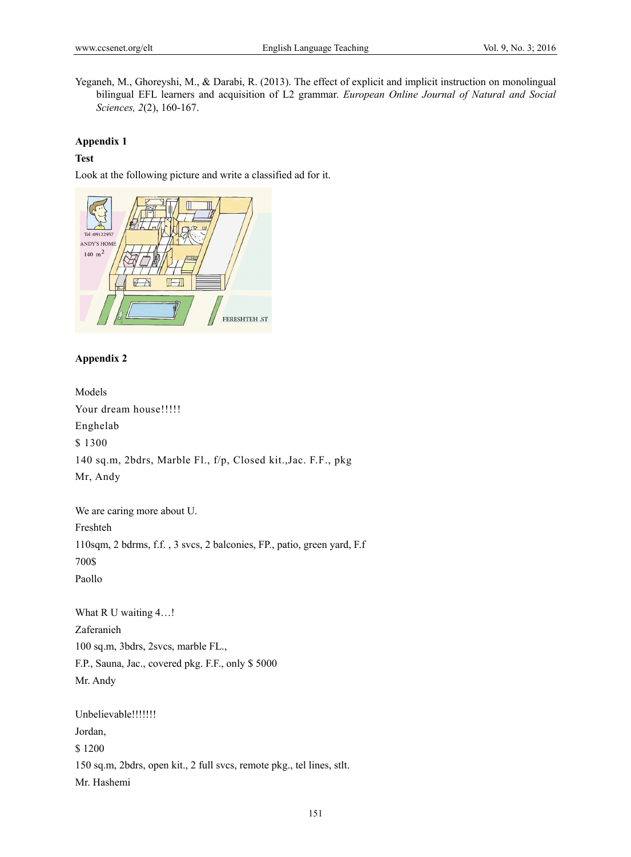Yeganeh, M., Ghoreyshi, M., & Darabi, R. (2013). The effect of explicit and implicit instruction on monolingual bilingual EFL learners and acquisition of L2 grammar. *European Online Journal of Natural and Social Sciences, 2*(2), 160-167.

## **Appendix 1**

## **Test**

Look at the following picture and write a classified ad for it.



## **Appendix 2**

Models Your dream house!!!!! Enghelab \$ 1300 140 sq.m, 2bdrs, Marble Fl., f/p, Closed kit.,Jac. F.F., pkg Mr, Andy

We are caring more about U. Freshteh 110sqm, 2 bdrms, f.f. , 3 svcs, 2 balconies, FP., patio, green yard, F.f 700\$ Paollo

What R U waiting 4...! Zaferanieh 100 sq.m, 3bdrs, 2svcs, marble FL., F.P., Sauna, Jac., covered pkg. F.F., only \$ 5000 Mr. Andy

Unbelievable!!!!!!! Jordan, \$ 1200 150 sq.m, 2bdrs, open kit., 2 full svcs, remote pkg., tel lines, stlt. Mr. Hashemi